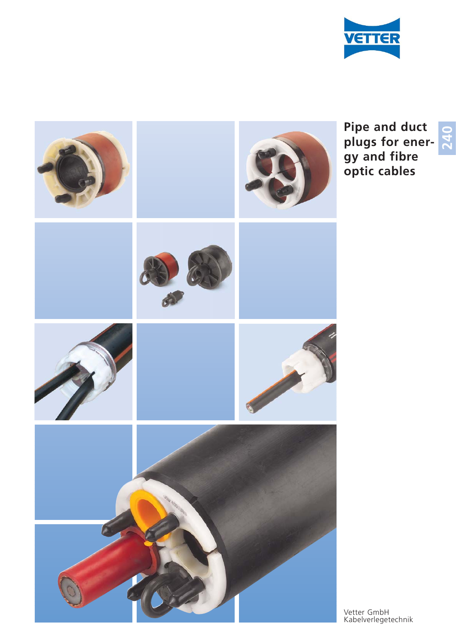



**Pipe and duct** plugs for ener**gy and fibre optic cables** 

**OQM**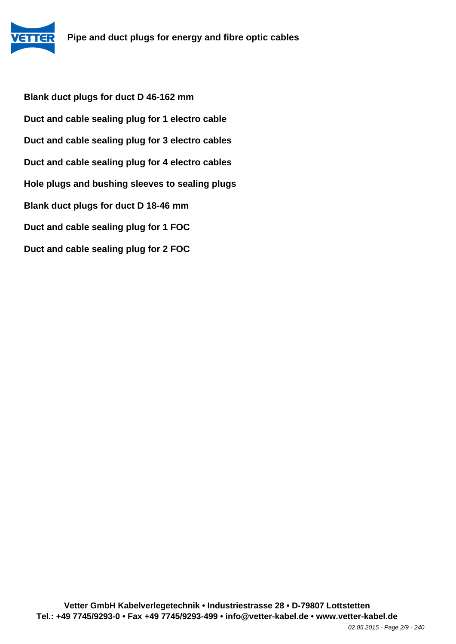**Blank duct plugs for duct D 46-162 mm Duct and cable sealing plug for 1 electro cable Duct and cable sealing plug for 3 electro cables Duct and cable sealing plug for 4 electro cables Hole plugs and bushing sleeves to sealing plugs Blank duct plugs for duct D 18-46 mm Duct and cable sealing plug for 1 FOC Duct and cable sealing plug for 2 FOC**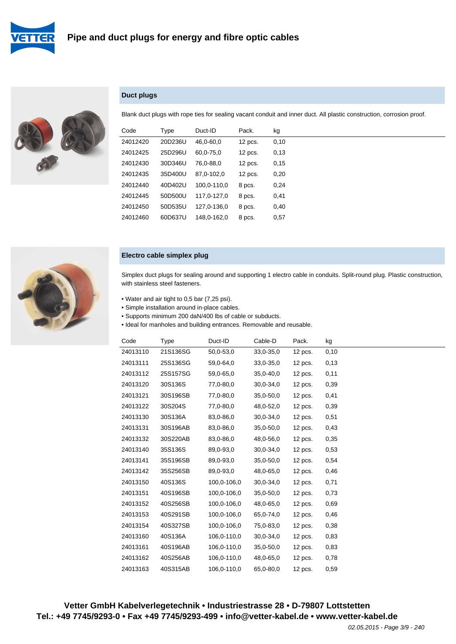



## **Duct plugs**

Blank duct plugs with rope ties for sealing vacant conduit and inner duct. All plastic construction, corrosion proof.

| Code     | Type    | Duct-ID     | Pack.     | kg   |
|----------|---------|-------------|-----------|------|
| 24012420 | 20D236U | 46,0-60,0   | $12$ pcs. | 0,10 |
| 24012425 | 25D296U | 60,0-75,0   | $12$ pcs. | 0,13 |
| 24012430 | 30D346U | 76,0-88,0   | $12$ pcs. | 0,15 |
| 24012435 | 35D400U | 87,0-102,0  | $12$ pcs. | 0,20 |
| 24012440 | 40D402U | 100.0-110.0 | 8 pcs.    | 0,24 |
| 24012445 | 50D500U | 117.0-127.0 | 8 pcs.    | 0,41 |
| 24012450 | 50D535U | 127,0-136.0 | 8 pcs.    | 0,40 |
| 24012460 | 60D637U | 148.0-162.0 | 8 pcs.    | 0,57 |



#### **Electro cable simplex plug**

Simplex duct plugs for sealing around and supporting 1 electro cable in conduits. Split-round plug. Plastic construction, with stainless steel fasteners.

- Water and air tight to 0,5 bar (7,25 psi).
- Simple installation around in-place cables.
- Supports minimum 200 daN/400 lbs of cable or subducts.
- Ideal for manholes and building entrances. Removable and reusable.

| Code     | Type     | Duct-ID     | Cable-D       | Pack.     | kg   |
|----------|----------|-------------|---------------|-----------|------|
| 24013110 | 21S136SG | 50,0-53,0   | 33,0-35,0     | $12$ pcs. | 0,10 |
| 24013111 | 25S136SG | 59,0-64,0   | $33,0-35,0$   | $12$ pcs. | 0,13 |
| 24013112 | 25S157SG | 59,0-65,0   | $35,0 - 40,0$ | $12$ pcs. | 0,11 |
| 24013120 | 30S136S  | 77,0-80,0   | 30,0-34,0     | $12$ pcs. | 0,39 |
| 24013121 | 30S196SB | 77,0-80,0   | 35,0-50,0     | $12$ pcs. | 0,41 |
| 24013122 | 30S204S  | 77,0-80,0   | 48,0-52,0     | $12$ pcs. | 0,39 |
| 24013130 | 30S136A  | 83,0-86,0   | $30,0-34,0$   | $12$ pcs. | 0,51 |
| 24013131 | 30S196AB | 83,0-86,0   | $35,0-50,0$   | $12$ pcs. | 0,43 |
| 24013132 | 30S220AB | 83,0-86,0   | 48,0-56,0     | $12$ pcs. | 0,35 |
| 24013140 | 35S136S  | 89,0-93,0   | 30,0-34,0     | 12 pcs.   | 0,53 |
| 24013141 | 35S196SB | 89,0-93,0   | $35,0-50,0$   | $12$ pcs. | 0,54 |
| 24013142 | 35S256SB | 89,0-93,0   | 48,0-65,0     | $12$ pcs. | 0,46 |
| 24013150 | 40S136S  | 100,0-106,0 | $30,0-34,0$   | $12$ pcs. | 0,71 |
| 24013151 | 40S196SB | 100,0-106,0 | 35,0-50,0     | $12$ pcs. | 0,73 |
| 24013152 | 40S256SB | 100,0-106,0 | 48,0-65,0     | $12$ pcs. | 0,69 |
| 24013153 | 40S291SB | 100,0-106,0 | 65,0-74,0     | $12$ pcs. | 0,46 |
| 24013154 | 40S327SB | 100,0-106,0 | 75,0-83,0     | 12 pcs.   | 0,38 |
| 24013160 | 40S136A  | 106,0-110,0 | 30,0-34,0     | $12$ pcs. | 0,83 |
| 24013161 | 40S196AB | 106,0-110,0 | 35,0-50,0     | $12$ pcs. | 0,83 |
| 24013162 | 40S256AB | 106,0-110,0 | 48,0-65,0     | $12$ pcs. | 0,78 |
| 24013163 | 40S315AB | 106,0-110,0 | 65,0-80,0     | 12 pcs.   | 0,59 |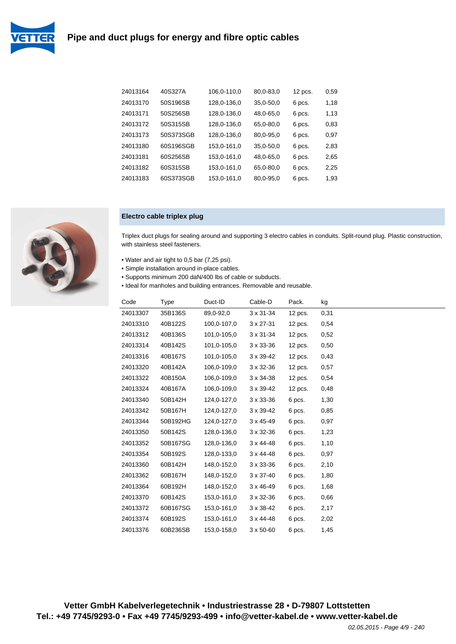# **Pipe and duct plugs for energy and fibre optic cables**



| 24013164 | 40S327A   | 106,0-110,0 | 80,0-83,0   | 12 pcs. | 0,59 |
|----------|-----------|-------------|-------------|---------|------|
| 24013170 | 50S196SB  | 128,0-136,0 | $35,0-50,0$ | 6 pcs.  | 1,18 |
| 24013171 | 50S256SB  | 128,0-136,0 | 48,0-65,0   | 6 pcs.  | 1,13 |
| 24013172 | 50S315SB  | 128,0-136,0 | 65,0-80,0   | 6 pcs.  | 0,83 |
| 24013173 | 50S373SGB | 128,0-136,0 | 80,0-95,0   | 6 pcs.  | 0,97 |
| 24013180 | 60S196SGB | 153,0-161,0 | $35,0-50,0$ | 6 pcs.  | 2,83 |
| 24013181 | 60S256SB  | 153,0-161,0 | 48,0-65,0   | 6 pcs.  | 2,65 |
| 24013182 | 60S315SB  | 153,0-161,0 | 65,0-80,0   | 6 pcs.  | 2,25 |
| 24013183 | 60S373SGB | 153,0-161,0 | 80,0-95,0   | 6 pcs.  | 1,93 |

#### **Electro cable triplex plug**

Triplex duct plugs for sealing around and supporting 3 electro cables in conduits. Split-round plug. Plastic construction, with stainless steel fasteners.

- Water and air tight to 0,5 bar (7,25 psi).
- Simple installation around in-place cables.
- Supports minimum 200 daN/400 lbs of cable or subducts.
- Ideal for manholes and building entrances. Removable and reusable.

| Code     | Type     | Duct-ID     | Cable-D            | Pack.     | kg   |
|----------|----------|-------------|--------------------|-----------|------|
| 24013307 | 35B136S  | 89,0-92,0   | $3 \times 31 - 34$ | $12$ pcs. | 0,31 |
| 24013310 | 40B122S  | 100,0-107,0 | $3 \times 27 - 31$ | $12$ pcs. | 0,54 |
| 24013312 | 40B136S  | 101,0-105,0 | $3 \times 31 - 34$ | $12$ pcs. | 0,52 |
| 24013314 | 40B142S  | 101,0-105,0 | $3 \times 33 - 36$ | $12$ pcs. | 0,50 |
| 24013316 | 40B167S  | 101,0-105,0 | $3 \times 39 - 42$ | $12$ pcs. | 0,43 |
| 24013320 | 40B142A  | 106,0-109,0 | $3 \times 32 - 36$ | $12$ pcs. | 0,57 |
| 24013322 | 40B150A  | 106,0-109,0 | $3 \times 34 - 38$ | $12$ pcs. | 0,54 |
| 24013324 | 40B167A  | 106,0-109,0 | $3 \times 39 - 42$ | $12$ pcs. | 0,48 |
| 24013340 | 50B142H  | 124,0-127,0 | $3 \times 33 - 36$ | 6 pcs.    | 1,30 |
| 24013342 | 50B167H  | 124,0-127,0 | $3 \times 39 - 42$ | 6 pcs.    | 0,85 |
| 24013344 | 50B192HG | 124,0-127,0 | $3 \times 45 - 49$ | 6 pcs.    | 0,97 |
| 24013350 | 50B142S  | 128,0-136,0 | $3 \times 32 - 36$ | 6 pcs.    | 1,23 |
| 24013352 | 50B167SG | 128,0-136,0 | $3 \times 44 - 48$ | 6 pcs.    | 1,10 |
| 24013354 | 50B192S  | 128,0-133,0 | $3 \times 44 - 48$ | 6 pcs.    | 0,97 |
| 24013360 | 60B142H  | 148,0-152,0 | $3 \times 33 - 36$ | 6 pcs.    | 2,10 |
| 24013362 | 60B167H  | 148,0-152,0 | $3 \times 37 - 40$ | 6 pcs.    | 1,80 |
| 24013364 | 60B192H  | 148,0-152,0 | $3 \times 46 - 49$ | 6 pcs.    | 1,68 |
| 24013370 | 60B142S  | 153,0-161,0 | $3 \times 32 - 36$ | 6 pcs.    | 0,66 |
| 24013372 | 60B167SG | 153,0-161,0 | $3 \times 38 - 42$ | 6 pcs.    | 2,17 |
| 24013374 | 60B192S  | 153,0-161,0 | $3 \times 44 - 48$ | 6 pcs.    | 2,02 |
| 24013376 | 60B236SB | 153,0-158,0 | $3 \times 50 - 60$ | 6 pcs.    | 1,45 |



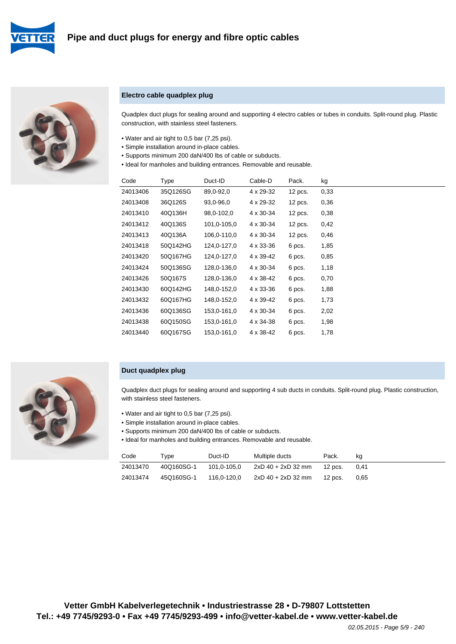



#### **Electro cable quadplex plug**

Quadplex duct plugs for sealing around and supporting 4 electro cables or tubes in conduits. Split-round plug. Plastic construction, with stainless steel fasteners.

- Water and air tight to 0,5 bar (7,25 psi).
- Simple installation around in-place cables.
- Supports minimum 200 daN/400 lbs of cable or subducts.
- Ideal for manholes and building entrances. Removable and reusable.

| Code     | Type     | Duct-ID     | Cable-D   | Pack.     | kg   |
|----------|----------|-------------|-----------|-----------|------|
| 24013406 | 35Q126SG | 89,0-92,0   | 4 x 29-32 | $12$ pcs. | 0,33 |
| 24013408 | 36Q126S  | 93,0-96,0   | 4 x 29-32 | 12 pcs.   | 0,36 |
| 24013410 | 40Q136H  | 98,0-102,0  | 4 x 30-34 | $12$ pcs. | 0,38 |
| 24013412 | 40Q136S  | 101,0-105,0 | 4 x 30-34 | $12$ pcs. | 0,42 |
| 24013413 | 40Q136A  | 106,0-110,0 | 4 x 30-34 | 12 pcs.   | 0,46 |
| 24013418 | 50Q142HG | 124,0-127,0 | 4 x 33-36 | 6 pcs.    | 1,85 |
| 24013420 | 50Q167HG | 124,0-127,0 | 4 x 39-42 | 6 pcs.    | 0,85 |
| 24013424 | 50Q136SG | 128,0-136,0 | 4 x 30-34 | 6 pcs.    | 1,18 |
| 24013426 | 50Q167S  | 128,0-136,0 | 4 x 38-42 | 6 pcs.    | 0,70 |
| 24013430 | 60Q142HG | 148,0-152,0 | 4 x 33-36 | 6 pcs.    | 1,88 |
| 24013432 | 60Q167HG | 148,0-152,0 | 4 x 39-42 | 6 pcs.    | 1,73 |
| 24013436 | 60Q136SG | 153,0-161,0 | 4 x 30-34 | 6 pcs.    | 2,02 |
| 24013438 | 60Q150SG | 153,0-161,0 | 4 x 34-38 | 6 pcs.    | 1,98 |
| 24013440 | 60Q167SG | 153,0-161,0 | 4 x 38-42 | 6 pcs.    | 1,78 |
|          |          |             |           |           |      |

#### **Duct quadplex plug**

Quadplex duct plugs for sealing around and supporting 4 sub ducts in conduits. Split-round plug. Plastic construction, with stainless steel fasteners.

- Water and air tight to 0,5 bar (7,25 psi).
- Simple installation around in-place cables.
- Supports minimum 200 daN/400 lbs of cable or subducts.
- Ideal for manholes and building entrances. Removable and reusable.

| Code     | Tvpe       | Duct-ID     | Multiple ducts     | Pack.   | ka     |
|----------|------------|-------------|--------------------|---------|--------|
| 24013470 | 40Q160SG-1 | 101.0-105.0 | 2xD 40 + 2xD 32 mm | 12 pcs. | - 0.41 |
| 24013474 | 45Q160SG-1 | 116.0-120.0 | 2xD 40 + 2xD 32 mm | 12 pcs. | 0.65   |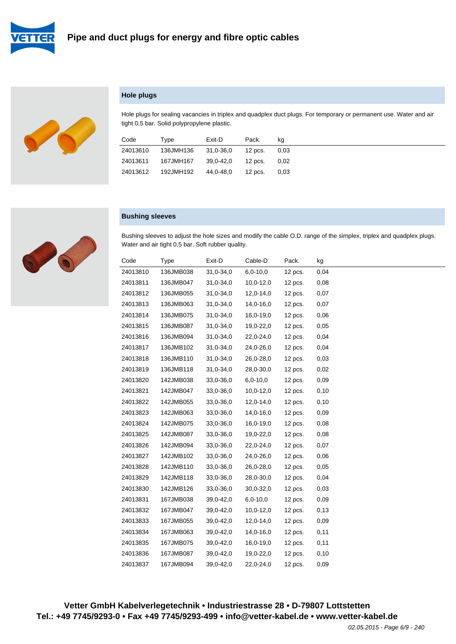



### **Hole plugs**

Hole plugs for sealing vacancies in triplex and quadplex duct plugs. For temporary or permanent use. Water and air tight 0,5 bar. Solid polypropylene plastic.

| Code     | Type      | Exit-D    | Pack.   | kq   |
|----------|-----------|-----------|---------|------|
| 24013610 | 136JMH136 | 31.0-36.0 | 12 pcs. | 0.03 |
| 24013611 | 167JMH167 | 39.0-42.0 | 12 pcs. | 0.02 |
| 24013612 | 192JMH192 | 44.0-48.0 | 12 pcs. | 0.03 |

#### **Bushing sleeves**

Bushing sleeves to adjust the hole sizes and modify the cable O.D. range of the simplex, triplex and quadplex plugs. Water and air tight 0,5 bar. Soft rubber quality.

| Code     | <b>Type</b> | Exit-D      | Cable-D     | Pack.     | kg   |
|----------|-------------|-------------|-------------|-----------|------|
| 24013810 | 136JMB038   | 31,0-34,0   | $6,0-10,0$  | 12 pcs.   | 0,04 |
| 24013811 | 136JMB047   | $31,0-34,0$ | $10,0-12,0$ | $12$ pcs. | 0,08 |
| 24013812 | 136JMB055   | 31,0-34,0   | $12,0-14,0$ | 12 pcs.   | 0,07 |
| 24013813 | 136JMB063   | 31,0-34,0   | 14,0-16,0   | $12$ pcs. | 0,07 |
| 24013814 | 136JMB075   | 31,0-34,0   | 16,0-19,0   | $12$ pcs. | 0,06 |
| 24013815 | 136JMB087   | 31,0-34,0   | 19,0-22,0   | 12 pcs.   | 0,05 |
| 24013816 | 136JMB094   | 31,0-34,0   | 22,0-24,0   | $12$ pcs. | 0,04 |
| 24013817 | 136JMB102   | 31,0-34,0   | 24,0-26,0   | 12 pcs.   | 0,04 |
| 24013818 | 136JMB110   | $31,0-34,0$ | 26,0-28,0   | 12 pcs.   | 0,03 |
| 24013819 | 136JMB118   | 31,0-34,0   | 28,0-30,0   | 12 pcs.   | 0,02 |
| 24013820 | 142JMB038   | 33,0-36,0   | $6,0-10,0$  | 12 pcs.   | 0,09 |
| 24013821 | 142JMB047   | 33,0-36,0   | $10,0-12,0$ | $12$ pcs. | 0,10 |
| 24013822 | 142JMB055   | 33,0-36,0   | 12,0-14,0   | $12$ pcs. | 0,10 |
| 24013823 | 142JMB063   | 33,0-36,0   | 14,0-16,0   | $12$ pcs. | 0,09 |
| 24013824 | 142JMB075   | 33,0-36,0   | 16,0-19,0   | 12 pcs.   | 0,08 |
| 24013825 | 142JMB087   | 33,0-36,0   | 19,0-22,0   | 12 pcs.   | 0,08 |
| 24013826 | 142JMB094   | 33,0-36,0   | 22,0-24,0   | 12 pcs.   | 0,07 |
| 24013827 | 142JMB102   | 33,0-36,0   | 24,0-26,0   | 12 pcs.   | 0,06 |
| 24013828 | 142JMB110   | 33,0-36,0   | 26,0-28,0   | 12 pcs.   | 0,05 |
| 24013829 | 142JMB118   | 33,0-36,0   | 28,0-30,0   | $12$ pcs. | 0,04 |
| 24013830 | 142JMB126   | 33,0-36,0   | $30,0-32,0$ | 12 pcs.   | 0,03 |
| 24013831 | 167JMB038   | 39,0-42,0   | $6,0-10,0$  | 12 pcs.   | 0,09 |
| 24013832 | 167JMB047   | 39,0-42,0   | $10,0-12,0$ | 12 pcs.   | 0,13 |
| 24013833 | 167JMB055   | 39,0-42,0   | 12,0-14,0   | $12$ pcs. | 0,09 |
| 24013834 | 167JMB063   | 39,0-42,0   | 14,0-16,0   | $12$ pcs. | 0,11 |
| 24013835 | 167JMB075   | 39,0-42,0   | 16,0-19,0   | 12 pcs.   | 0,11 |
| 24013836 | 167JMB087   | 39,0-42,0   | 19,0-22,0   | 12 pcs.   | 0,10 |
| 24013837 | 167JMB094   | 39,0-42,0   | 22,0-24,0   | 12 pcs.   | 0,09 |

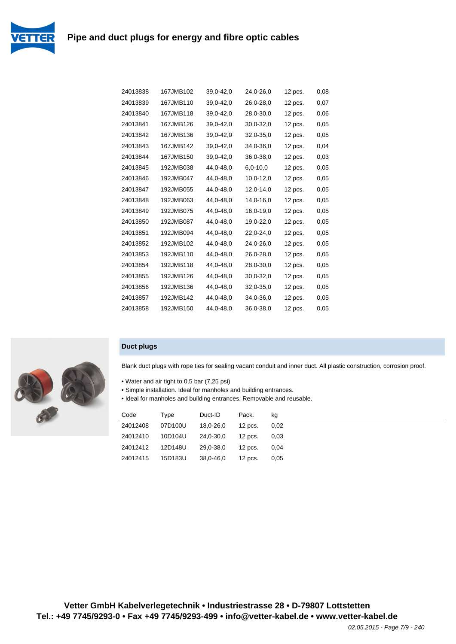

| 24013838 | 167JMB102 | 39,0-42,0 | 24,0-26,0  | 12 pcs. | 0,08 |
|----------|-----------|-----------|------------|---------|------|
| 24013839 | 167JMB110 | 39,0-42,0 | 26,0-28,0  | 12 pcs. | 0.07 |
| 24013840 | 167JMB118 | 39,0-42,0 | 28,0-30,0  | 12 pcs. | 0,06 |
| 24013841 | 167JMB126 | 39,0-42,0 | 30,0-32,0  | 12 pcs. | 0,05 |
| 24013842 | 167JMB136 | 39,0-42,0 | 32,0-35,0  | 12 pcs. | 0,05 |
| 24013843 | 167JMB142 | 39,0-42,0 | 34,0-36,0  | 12 pcs. | 0,04 |
| 24013844 | 167JMB150 | 39,0-42,0 | 36,0-38,0  | 12 pcs. | 0,03 |
| 24013845 | 192JMB038 | 44,0-48,0 | $6,0-10,0$ | 12 pcs. | 0,05 |
| 24013846 | 192JMB047 | 44,0-48,0 | 10,0-12,0  | 12 pcs. | 0,05 |
| 24013847 | 192JMB055 | 44,0-48,0 | 12,0-14,0  | 12 pcs. | 0,05 |
| 24013848 | 192JMB063 | 44,0-48,0 | 14,0-16,0  | 12 pcs. | 0,05 |
| 24013849 | 192JMB075 | 44,0-48,0 | 16,0-19,0  | 12 pcs. | 0.05 |
| 24013850 | 192JMB087 | 44,0-48,0 | 19,0-22,0  | 12 pcs. | 0.05 |
| 24013851 | 192JMB094 | 44,0-48,0 | 22,0-24,0  | 12 pcs. | 0,05 |
| 24013852 | 192JMB102 | 44,0-48,0 | 24,0-26,0  | 12 pcs. | 0,05 |
| 24013853 | 192JMB110 | 44,0-48,0 | 26,0-28,0  | 12 pcs. | 0,05 |
| 24013854 | 192JMB118 | 44,0-48,0 | 28,0-30,0  | 12 pcs. | 0.05 |
| 24013855 | 192JMB126 | 44,0-48,0 | 30,0-32,0  | 12 pcs. | 0,05 |
| 24013856 | 192JMB136 | 44,0-48,0 | 32,0-35,0  | 12 pcs. | 0,05 |
| 24013857 | 192JMB142 | 44,0-48,0 | 34,0-36,0  | 12 pcs. | 0,05 |
| 24013858 | 192JMB150 | 44.0-48.0 | 36,0-38,0  | 12 pcs. | 0,05 |



# **Duct plugs**

Blank duct plugs with rope ties for sealing vacant conduit and inner duct. All plastic construction, corrosion proof.

- Water and air tight to 0,5 bar (7,25 psi)
- Simple installation. Ideal for manholes and building entrances.
- Ideal for manholes and building entrances. Removable and reusable.

| Code     | Type    | Duct-ID   | Pack.     | kg   |
|----------|---------|-----------|-----------|------|
| 24012408 | 07D100U | 18,0-26,0 | $12$ pcs. | 0.02 |
| 24012410 | 10D104U | 24,0-30,0 | $12$ pcs. | 0.03 |
| 24012412 | 12D148U | 29.0-38.0 | $12$ pcs. | 0.04 |
| 24012415 | 15D183U | 38,0-46,0 | $12$ pcs. | 0.05 |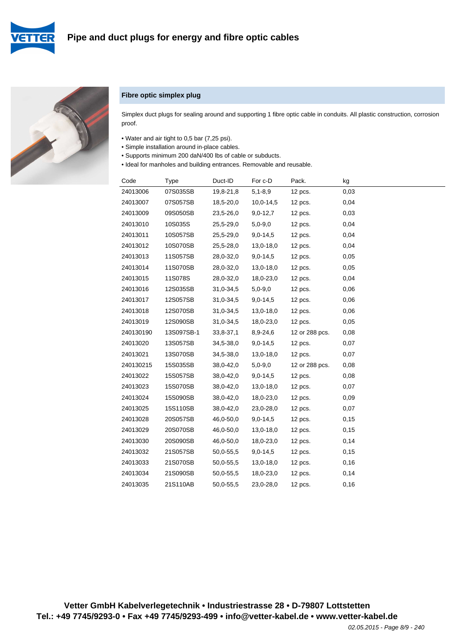





#### **Fibre optic simplex plug**

Simplex duct plugs for sealing around and supporting 1 fibre optic cable in conduits. All plastic construction, corrosion proof.

- Water and air tight to 0,5 bar (7,25 psi).
- Simple installation around in-place cables.
- Supports minimum 200 daN/400 lbs of cable or subducts.
- Ideal for manholes and building entrances. Removable and reusable.

| Code      | Type       | Duct-ID   | For c-D     | Pack.          | kg   |
|-----------|------------|-----------|-------------|----------------|------|
| 24013006  | 07S035SB   | 19,8-21,8 | $5,1 - 8,9$ | 12 pcs.        | 0,03 |
| 24013007  | 07S057SB   | 18,5-20,0 | $10,0-14,5$ | 12 pcs.        | 0,04 |
| 24013009  | 09S050SB   | 23,5-26,0 | $9,0-12,7$  | 12 pcs.        | 0,03 |
| 24013010  | 10S035S    | 25,5-29,0 | $5,0-9,0$   | 12 pcs.        | 0,04 |
| 24013011  | 10S057SB   | 25,5-29,0 | $9,0-14,5$  | 12 pcs.        | 0,04 |
| 24013012  | 10S070SB   | 25,5-28,0 | 13,0-18,0   | 12 pcs.        | 0,04 |
| 24013013  | 11S057SB   | 28,0-32,0 | $9,0-14,5$  | 12 pcs.        | 0,05 |
| 24013014  | 11S070SB   | 28,0-32,0 | 13,0-18,0   | 12 pcs.        | 0,05 |
| 24013015  | 11S078S    | 28,0-32,0 | 18,0-23,0   | 12 pcs.        | 0,04 |
| 24013016  | 12S035SB   | 31,0-34,5 | $5,0-9,0$   | 12 pcs.        | 0,06 |
| 24013017  | 12S057SB   | 31,0-34,5 | $9,0-14,5$  | 12 pcs.        | 0,06 |
| 24013018  | 12S070SB   | 31,0-34,5 | 13,0-18,0   | 12 pcs.        | 0,06 |
| 24013019  | 12S090SB   | 31,0-34,5 | 18,0-23,0   | $12$ pcs.      | 0,05 |
| 240130190 | 13S097SB-1 | 33,8-37,1 | 8,9-24,6    | 12 or 288 pcs. | 0,08 |
| 24013020  | 13S057SB   | 34,5-38,0 | $9,0-14,5$  | 12 pcs.        | 0,07 |
| 24013021  | 13S070SB   | 34,5-38,0 | 13,0-18,0   | $12$ pcs.      | 0,07 |
| 240130215 | 15S035SB   | 38,0-42,0 | $5,0-9,0$   | 12 or 288 pcs. | 0,08 |
| 24013022  | 15S057SB   | 38,0-42,0 | $9,0-14,5$  | 12 pcs.        | 0,08 |
| 24013023  | 15S070SB   | 38,0-42,0 | 13,0-18,0   | $12$ pcs.      | 0,07 |
| 24013024  | 15S090SB   | 38,0-42,0 | 18,0-23,0   | 12 pcs.        | 0,09 |
| 24013025  | 15S110SB   | 38,0-42,0 | 23,0-28,0   | $12$ pcs.      | 0,07 |
| 24013028  | 20S057SB   | 46,0-50,0 | $9,0-14,5$  | 12 pcs.        | 0,15 |
| 24013029  | 20S070SB   | 46,0-50,0 | 13,0-18,0   | 12 pcs.        | 0,15 |
| 24013030  | 20S090SB   | 46,0-50,0 | 18,0-23,0   | 12 pcs.        | 0,14 |
| 24013032  | 21S057SB   | 50,0-55,5 | $9,0-14,5$  | 12 pcs.        | 0,15 |
| 24013033  | 21S070SB   | 50,0-55,5 | 13,0-18,0   | 12 pcs.        | 0,16 |
| 24013034  | 21S090SB   | 50,0-55,5 | 18,0-23,0   | 12 pcs.        | 0,14 |
| 24013035  | 21S110AB   | 50,0-55,5 | 23,0-28,0   | 12 pcs.        | 0,16 |